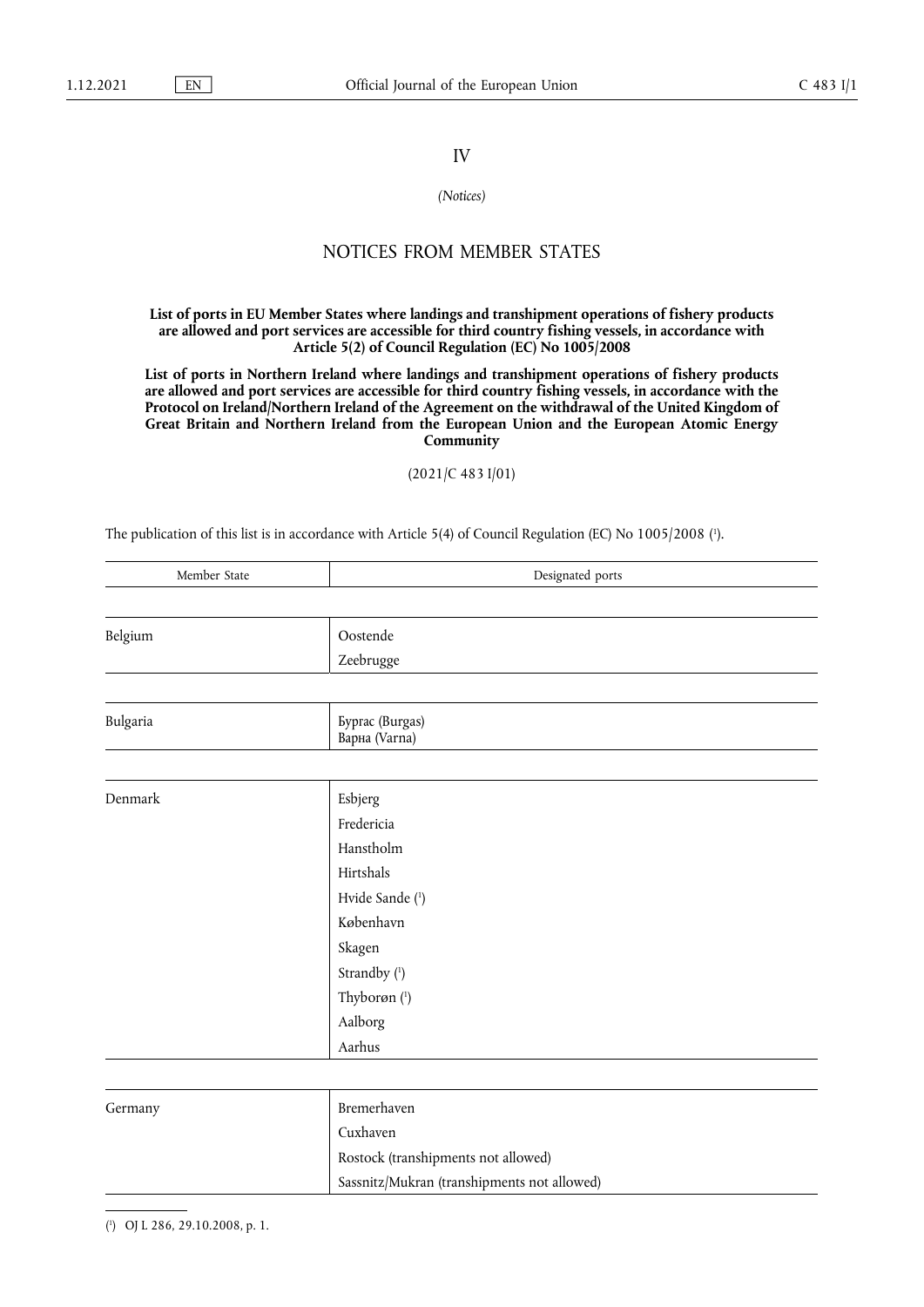## IV

## *(Notices)*

## NOTICES FROM MEMBER STATES

**List of ports in EU Member States where landings and transhipment operations of fishery products are allowed and port services are accessible for third country fishing vessels, in accordance with Article 5(2) of Council Regulation (EC) No 1005/2008** 

**List of ports in Northern Ireland where landings and transhipment operations of fishery products are allowed and port services are accessible for third country fishing vessels, in accordance with the Protocol on Ireland/Northern Ireland of the Agreement on the withdrawal of the United Kingdom of Great Britain and Northern Ireland from the European Union and the European Atomic Energy Community** 

(2021/C 483 I/01)

<span id="page-0-1"></span>The publication of this list is in accordance with Article 5(4) of Council Regulation (EC) No 1005/2008 ( 1 [\).](#page-0-0)

| Member State | Designated ports                                      |
|--------------|-------------------------------------------------------|
|              |                                                       |
| Belgium      | Oostende                                              |
|              | Zeebrugge                                             |
|              |                                                       |
| Bulgaria     | <b><i><u>Byprac</u></i></b> (Burgas)<br>Варна (Varna) |
|              |                                                       |
| Denmark      | Esbjerg                                               |
|              | Fredericia                                            |
|              | Hanstholm                                             |
|              | Hirtshals                                             |
|              | Hvide Sande (1)                                       |
|              | København                                             |
|              | Skagen                                                |
|              | Strandby (1)                                          |
|              | Thyborøn (1)                                          |
|              | Aalborg                                               |
|              | Aarhus                                                |
|              |                                                       |
| Germany      | Bremerhaven                                           |
|              | Cuxhaven                                              |
|              | Rostock (transhipments not allowed)                   |
|              | Sassnitz/Mukran (transhipments not allowed)           |

<span id="page-0-2"></span><span id="page-0-0"></span>[\(](#page-0-1) 1 ) OJ L 286, 29.10.2008, p. 1.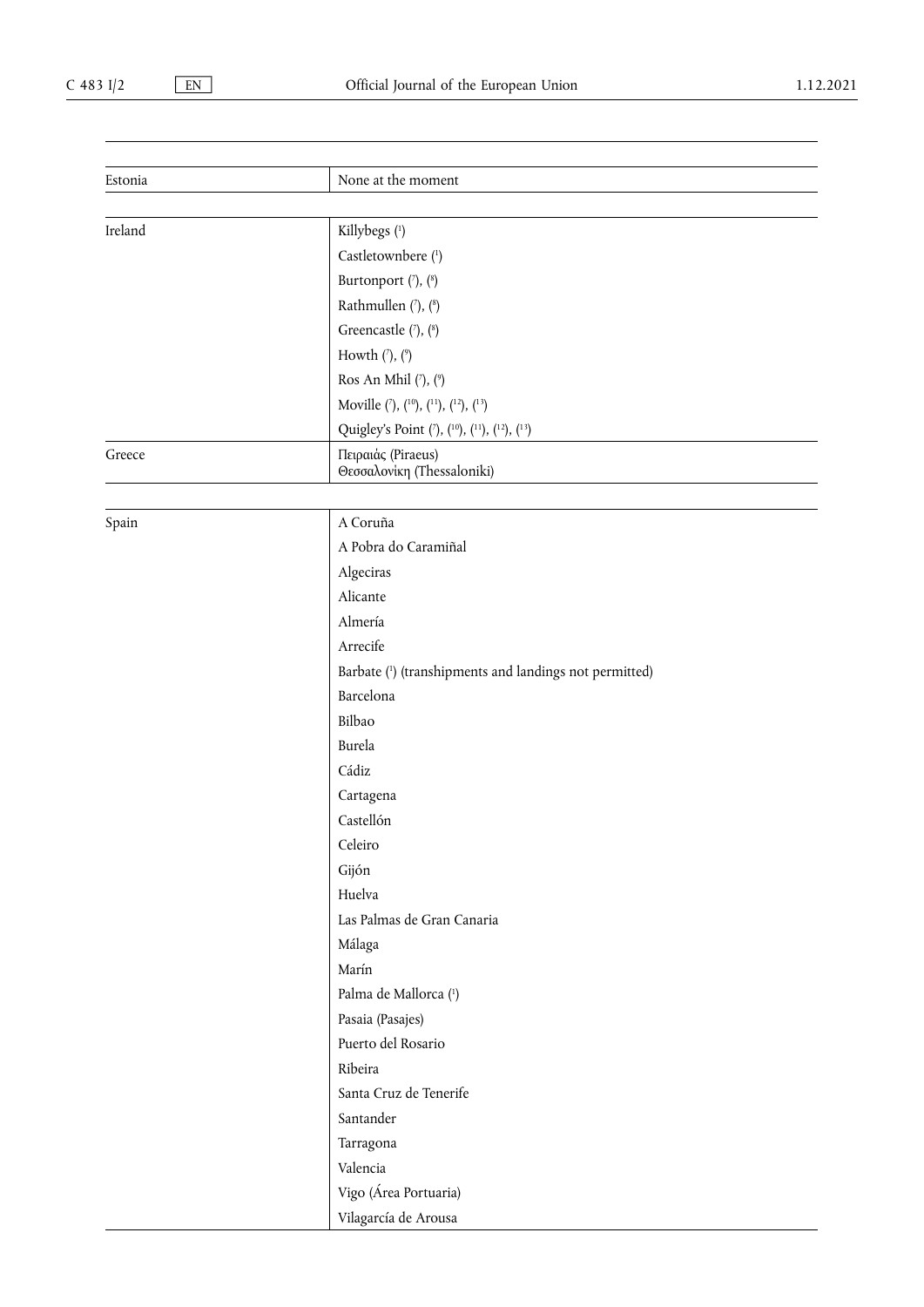| Estonia | None at the moment                                |  |
|---------|---------------------------------------------------|--|
|         |                                                   |  |
| Ireland | Killybegs (1)                                     |  |
|         | Castletownbere (1)                                |  |
|         | Burtonport $(\bar{\ }), (\bar{\ }')$              |  |
|         | Rathmullen (7), (8)                               |  |
|         | Greencastle (7), (8)                              |  |
|         | Howth $('), (°)$                                  |  |
|         | Ros An Mhil $(7)$ , $(9)$                         |  |
|         | Moville $(7)$ , $(10)$ , $(11)$ , $(12)$ , $(13)$ |  |
|         | Quigley's Point (7), (10), (11), (12), (13)       |  |
| Greece  | Πειραιάς (Piraeus)<br>Θεσσαλονίκη (Thessaloniki)  |  |

Spain A Coruña

<span id="page-1-2"></span><span id="page-1-1"></span><span id="page-1-0"></span>

| A Pobra do Caramiñal                                   |
|--------------------------------------------------------|
| Algeciras                                              |
| Alicante                                               |
| Almería                                                |
| Arrecife                                               |
| Barbate (1) (transhipments and landings not permitted) |
| Barcelona                                              |
| Bilbao                                                 |
| Burela                                                 |
| Cádiz                                                  |
| Cartagena                                              |
| $\sim$ 11/                                             |

| Barcelona                  |
|----------------------------|
| Bilbao                     |
| <b>Burela</b>              |
| Cádiz                      |
| Cartagena                  |
| Castellón                  |
| Celeiro                    |
| Gijón                      |
| Huelva                     |
| Las Palmas de Gran Canaria |
| Málaga                     |
| Marín                      |
| Palma de Mallorca (1)      |
| Pasaia (Pasajes)           |
| Puerto del Rosario         |
| Ribeira                    |
| Santa Cruz de Tenerife     |
| Santander                  |
| Tarragona                  |
| Valencia                   |
| Vigo (Área Portuaria)      |

Vilagarcía de Arousa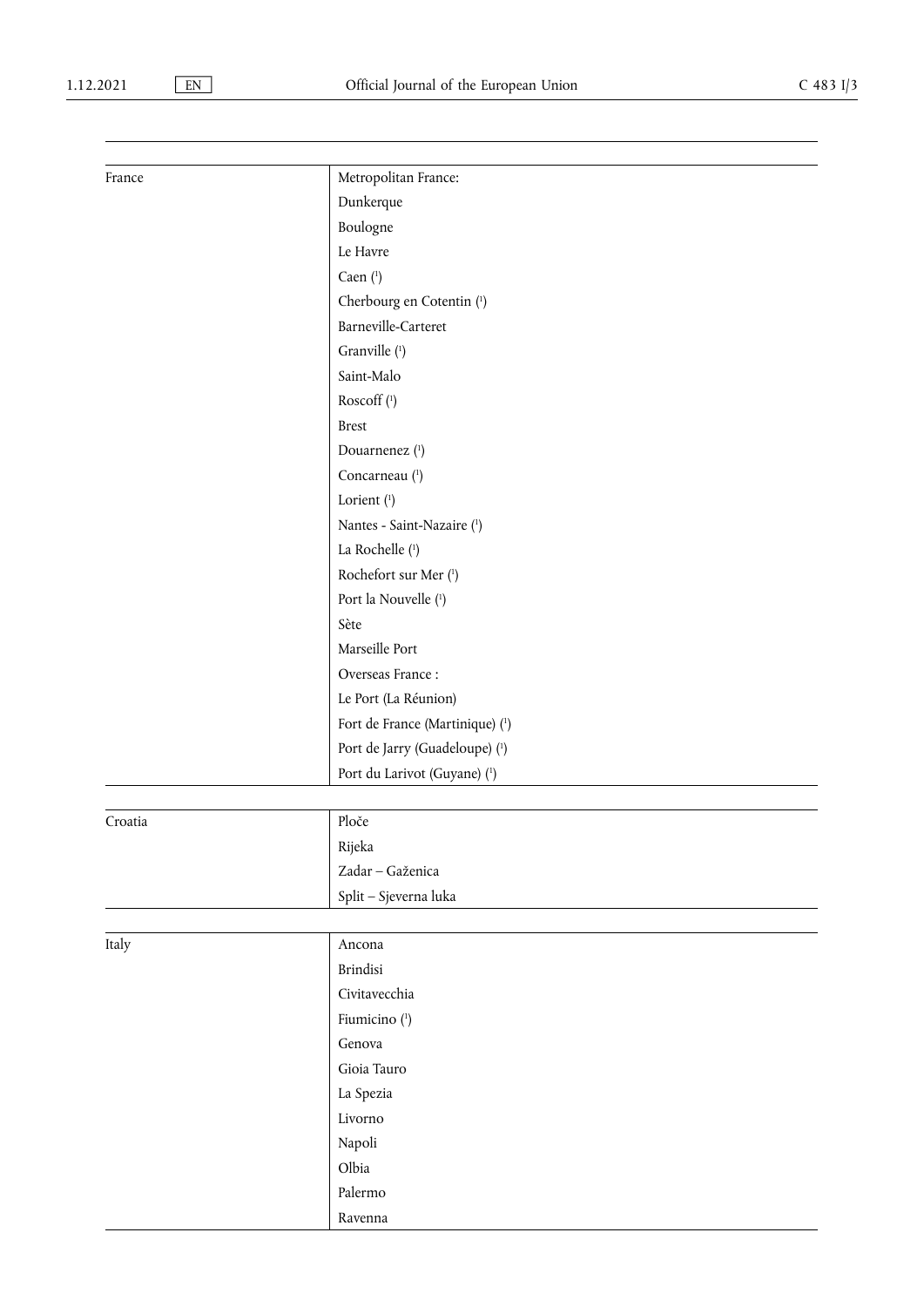| France  | Metropolitan France:            |
|---------|---------------------------------|
|         | Dunkerque                       |
|         | Boulogne                        |
|         | Le Havre                        |
|         | Caen $(1)$                      |
|         | Cherbourg en Cotentin (1)       |
|         | Barneville-Carteret             |
|         | Granville (1)                   |
|         | Saint-Malo                      |
|         | Roscoff (1)                     |
|         | <b>Brest</b>                    |
|         | Douarnenez (1)                  |
|         | Concarneau (1)                  |
|         | Lorient (1)                     |
|         | Nantes - Saint-Nazaire (1)      |
|         | La Rochelle (1)                 |
|         | Rochefort sur Mer (1)           |
|         | Port la Nouvelle (1)            |
|         | Sète                            |
|         | Marseille Port                  |
|         | Overseas France:                |
|         | Le Port (La Réunion)            |
|         | Fort de France (Martinique) (1) |
|         | Port de Jarry (Guadeloupe) (1)  |
|         | Port du Larivot (Guyane) (1)    |
|         |                                 |
| Croatia | Ploče                           |
|         | Rijeka                          |
|         | Zadar - Gaženica                |
|         | Split - Sjeverna luka           |
|         |                                 |
| Italy   | Ancona                          |
|         | <b>Brindisi</b>                 |
|         | Civitavecchia                   |
|         | Fiumicino (1)                   |
|         | Genova                          |
|         | Gioia Tauro                     |
|         | La Spezia                       |
|         | Livorno                         |
|         | Napoli                          |
|         | Olbia                           |
|         | Palermo                         |
|         | Ravenna                         |

H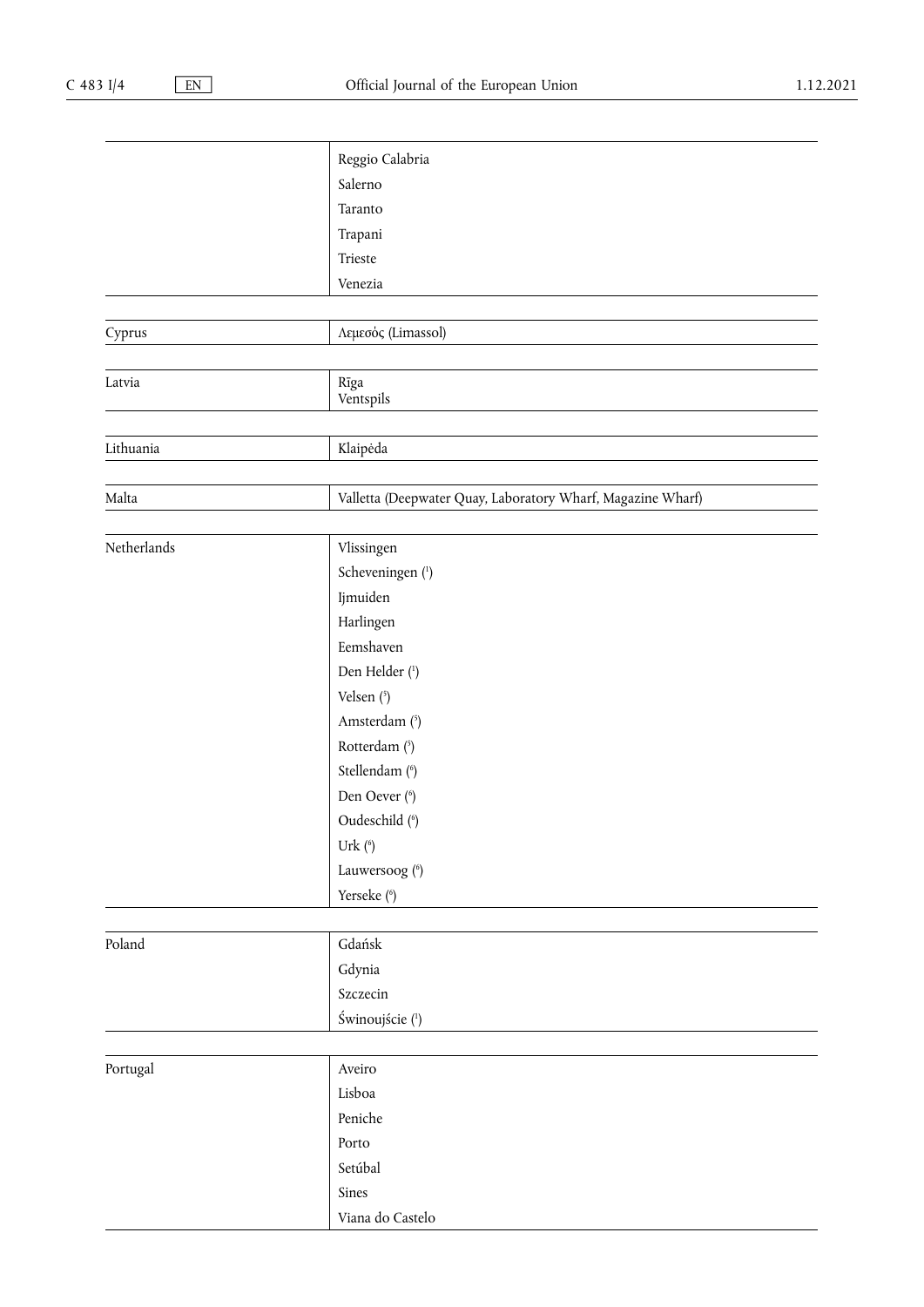<span id="page-3-1"></span><span id="page-3-0"></span>

|             | Reggio Calabria                                             |
|-------------|-------------------------------------------------------------|
|             | Salerno                                                     |
|             | Taranto                                                     |
|             | Trapani                                                     |
|             | Trieste                                                     |
|             | Venezia                                                     |
|             |                                                             |
| Cyprus      | Λεμεσός (Limassol)                                          |
|             |                                                             |
| Latvia      | Rīga<br>Ventspils                                           |
|             |                                                             |
| Lithuania   | Klaipėda                                                    |
|             |                                                             |
| Malta       | Valletta (Deepwater Quay, Laboratory Wharf, Magazine Wharf) |
|             |                                                             |
| Netherlands | Vlissingen                                                  |
|             | Scheveningen (1)                                            |
|             | Ijmuiden                                                    |
|             | Harlingen                                                   |
|             | Eemshaven                                                   |
|             | Den Helder (1)                                              |
|             | Velsen (5)                                                  |
|             | Amsterdam (5)                                               |
|             | Rotterdam (5)                                               |
|             | Stellendam (6)                                              |
|             | Den Oever (6)                                               |
|             | Oudeschild (6)                                              |
|             | Urk $(6)$                                                   |
|             | Lauwersoog (6)                                              |
|             | Yerseke (6)                                                 |
|             |                                                             |
| Poland      | Gdańsk                                                      |
|             | Gdynia                                                      |
|             | Szczecin                                                    |
|             | Świnoujście (1)                                             |
|             |                                                             |
| Portugal    | Aveiro                                                      |
|             | Lisboa                                                      |
|             | Peniche                                                     |
|             | Porto                                                       |
|             | Setúbal                                                     |
|             | Sines                                                       |
|             | Viana do Castelo                                            |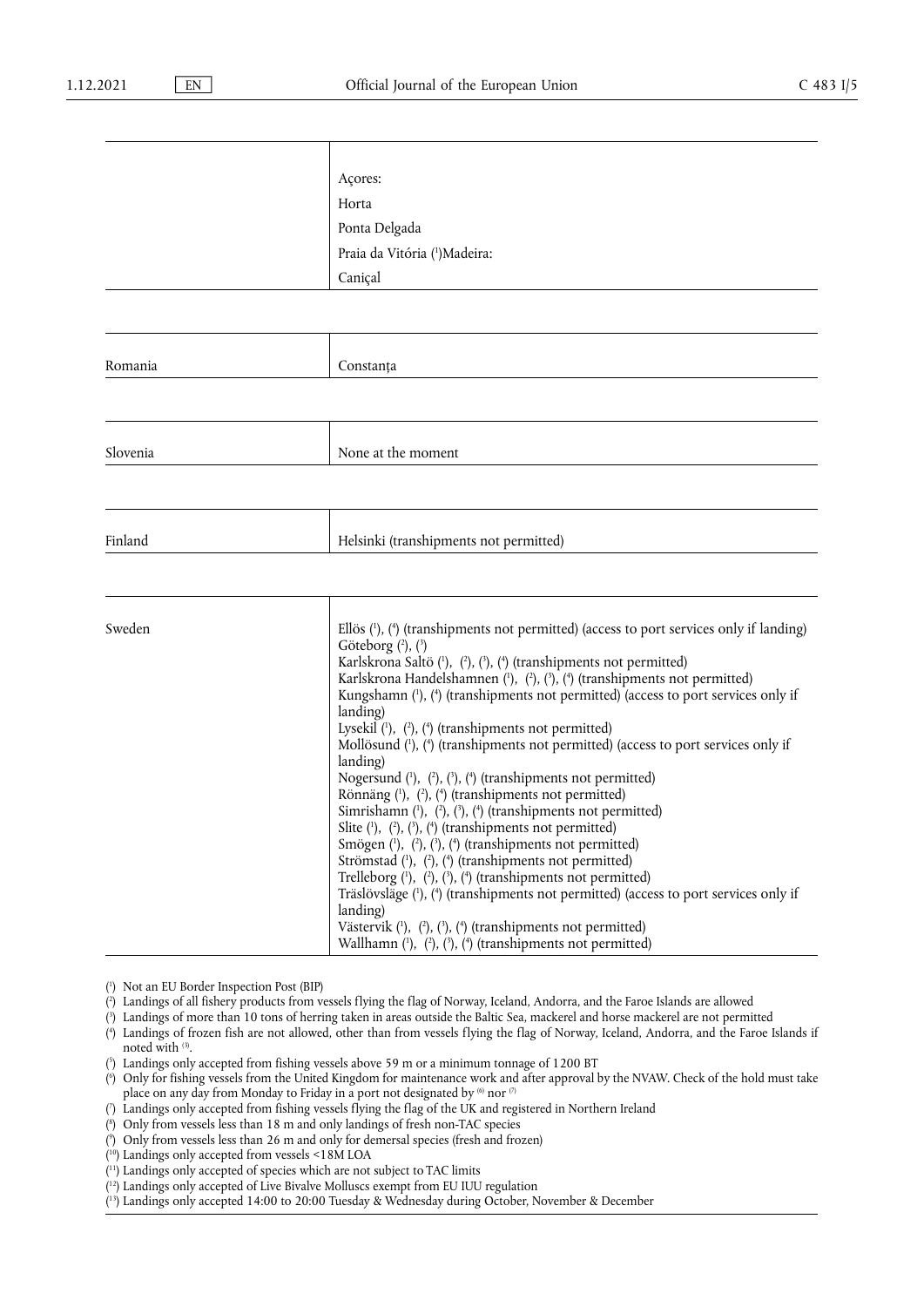|          | Acores:                                                                                                                                                                                                                                                                                                                                                                                                                                                                                                                                                                                                                                                                                                                                                                                                                                                                                                                                                                                                                                                                                                                                                                                                                                              |
|----------|------------------------------------------------------------------------------------------------------------------------------------------------------------------------------------------------------------------------------------------------------------------------------------------------------------------------------------------------------------------------------------------------------------------------------------------------------------------------------------------------------------------------------------------------------------------------------------------------------------------------------------------------------------------------------------------------------------------------------------------------------------------------------------------------------------------------------------------------------------------------------------------------------------------------------------------------------------------------------------------------------------------------------------------------------------------------------------------------------------------------------------------------------------------------------------------------------------------------------------------------------|
|          | Horta                                                                                                                                                                                                                                                                                                                                                                                                                                                                                                                                                                                                                                                                                                                                                                                                                                                                                                                                                                                                                                                                                                                                                                                                                                                |
|          | Ponta Delgada                                                                                                                                                                                                                                                                                                                                                                                                                                                                                                                                                                                                                                                                                                                                                                                                                                                                                                                                                                                                                                                                                                                                                                                                                                        |
|          | Praia da Vitória ( <sup>1</sup> )Madeira:                                                                                                                                                                                                                                                                                                                                                                                                                                                                                                                                                                                                                                                                                                                                                                                                                                                                                                                                                                                                                                                                                                                                                                                                            |
|          | Caniçal                                                                                                                                                                                                                                                                                                                                                                                                                                                                                                                                                                                                                                                                                                                                                                                                                                                                                                                                                                                                                                                                                                                                                                                                                                              |
|          |                                                                                                                                                                                                                                                                                                                                                                                                                                                                                                                                                                                                                                                                                                                                                                                                                                                                                                                                                                                                                                                                                                                                                                                                                                                      |
|          |                                                                                                                                                                                                                                                                                                                                                                                                                                                                                                                                                                                                                                                                                                                                                                                                                                                                                                                                                                                                                                                                                                                                                                                                                                                      |
| Romania  | Constanța                                                                                                                                                                                                                                                                                                                                                                                                                                                                                                                                                                                                                                                                                                                                                                                                                                                                                                                                                                                                                                                                                                                                                                                                                                            |
|          |                                                                                                                                                                                                                                                                                                                                                                                                                                                                                                                                                                                                                                                                                                                                                                                                                                                                                                                                                                                                                                                                                                                                                                                                                                                      |
| Slovenia | None at the moment                                                                                                                                                                                                                                                                                                                                                                                                                                                                                                                                                                                                                                                                                                                                                                                                                                                                                                                                                                                                                                                                                                                                                                                                                                   |
|          |                                                                                                                                                                                                                                                                                                                                                                                                                                                                                                                                                                                                                                                                                                                                                                                                                                                                                                                                                                                                                                                                                                                                                                                                                                                      |
| Finland  | Helsinki (transhipments not permitted)                                                                                                                                                                                                                                                                                                                                                                                                                                                                                                                                                                                                                                                                                                                                                                                                                                                                                                                                                                                                                                                                                                                                                                                                               |
|          |                                                                                                                                                                                                                                                                                                                                                                                                                                                                                                                                                                                                                                                                                                                                                                                                                                                                                                                                                                                                                                                                                                                                                                                                                                                      |
| Sweden   | Ellös $(1)$ , $(4)$ (transhipments not permitted) (access to port services only if landing)<br>Göteborg $(2)$ , $(3)$<br>Karlskrona Saltö (1), (2), (3), (4) (transhipments not permitted)<br>Karlskrona Handelshamnen $(1)$ , $(2)$ , $(3)$ , $(4)$ (transhipments not permitted)<br>Kungshamn (1), (4) (transhipments not permitted) (access to port services only if<br>landing)<br>Lysekil $(1)$ , $(2)$ , $(4)$ (transhipments not permitted)<br>Mollösund (1), (4) (transhipments not permitted) (access to port services only if<br>landing)<br>Nogersund $(1)$ , $(2)$ , $(3)$ , $(4)$ (transhipments not permitted)<br>Rönnäng (1), (2), (4) (transhipments not permitted)<br>Simrishamn $(1)$ , $(2)$ , $(3)$ , $(4)$ (transhipments not permitted)<br>Slite $(1)$ , $(2)$ , $(3)$ , $(4)$ (transhipments not permitted)<br>Smögen (1), (2), (3), (4) (transhipments not permitted)<br>Strömstad (1), (2), (4) (transhipments not permitted)<br>Trelleborg (1), (2), (3), (4) (transhipments not permitted)<br>Träslövsläge (1), (4) (transhipments not permitted) (access to port services only if<br>landing)<br>Västervik (1), (2), (3), (4) (transhipments not permitted)<br>Wallhamn (1), (2), (3), (4) (transhipments not permitted) |

<span id="page-4-13"></span><span id="page-4-0"></span>[\(](#page-0-2) 1 ) Not an EU Border Inspection Post (BIP)

<span id="page-4-11"></span>[\(](#page-4-13) 2 ) Landings of all fishery products from vessels flying the flag of Norway, Iceland, Andorra, and the Faroe Islands are allowed

<span id="page-4-12"></span><span id="page-4-10"></span>[\(](#page-4-13) 3 ) Landings of more than 10 tons of herring taken in areas outside the Baltic Sea, mackerel and horse mackerel are not permitted [\(](#page-4-13) 4 ) Landings of frozen fish are not allowed, other than from vessels flying the flag of Norway, Iceland, Andorra, and the Faroe Islands if noted with  $(3)$ .

<span id="page-4-8"></span>[\(](#page-3-0) 5 ) Landings only accepted from fishing vessels above 59 m or a minimum tonnage of 1200 BT

<span id="page-4-9"></span>[\(](#page-3-1) 6 ) Only for fishing vessels from the United Kingdom for maintenance work and after approval by the NVAW. Check of the hold must take place on any day from Monday to Friday in a port not designated by <sup>(6)</sup> nor <sup>(7)</sup>

<span id="page-4-1"></span>[\(](#page-1-0) 7 ) Landings only accepted from fishing vessels flying the flag of the UK and registered in Northern Ireland

<span id="page-4-2"></span>[\(](#page-1-1) 8 ) Only from vessels less than 18 m and only landings of fresh non-TAC species

<span id="page-4-3"></span>[\(](#page-1-2) 9 ) Only from vessels less than 26 m and only for demersal species (fresh and frozen)

<span id="page-4-4"></span>( [10\)](#page-1-0) Landings only accepted from vessels <18M LOA

<span id="page-4-5"></span>( [11\)](#page-1-0) Landings only accepted of species which are not subject to TAC limits

<span id="page-4-6"></span>( [12\)](#page-1-0) Landings only accepted of Live Bivalve Molluscs exempt from EU IUU regulation

<span id="page-4-7"></span>( [13\)](#page-1-0) Landings only accepted 14:00 to 20:00 Tuesday & Wednesday during October, November & December